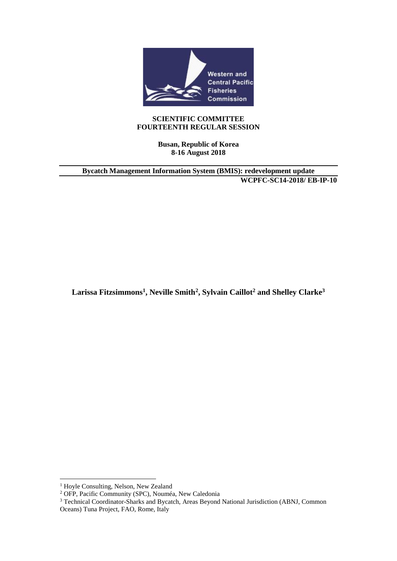

#### **SCIENTIFIC COMMITTEE FOURTEENTH REGULAR SESSION**

**Busan, Republic of Korea 8-16 August 2018**

**Bycatch Management Information System (BMIS): redevelopment update WCPFC-SC14-2018/ EB-IP-10**

**Larissa Fitzsimmons<sup>1</sup> , Neville Smith<sup>2</sup> , Sylvain Caillot<sup>2</sup> and Shelley Clarke<sup>3</sup>**

<sup>&</sup>lt;sup>1</sup> Hoyle Consulting, Nelson, New Zealand

<sup>2</sup> OFP, Pacific Community (SPC), Nouméa, New Caledonia

<sup>&</sup>lt;sup>3</sup> Technical Coordinator-Sharks and Bycatch, Areas Beyond National Jurisdiction (ABNJ, Common Oceans) Tuna Project, FAO, Rome, Italy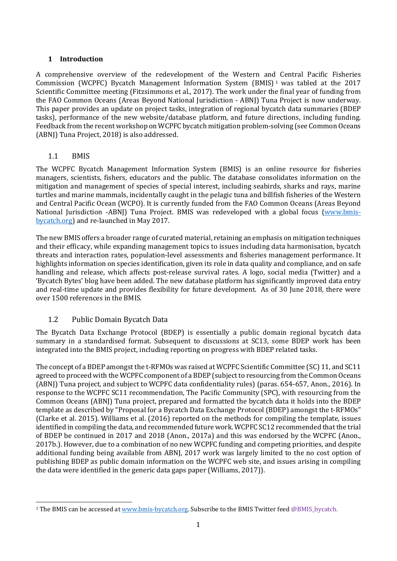## **1 Introduction**

A comprehensive overview of the redevelopment of the Western and Central Pacific Fisheries Commission (WCPFC) Bycatch Management Information System (BMIS) <sup>1</sup> was tabled at the 2017 Scientific Committee meeting (Fitzsimmons et al., 2017). The work under the final year of funding from the FAO Common Oceans (Areas Beyond National Jurisdiction - ABNJ) Tuna Project is now underway. This paper provides an update on project tasks, integration of regional bycatch data summaries (BDEP tasks), performance of the new website/database platform, and future directions, including funding. Feedback from the recent workshop on WCPFC bycatch mitigation problem-solving (see Common Oceans (ABNJ) Tuna Project, 2018) is also addressed.

## 1.1 BMIS

The WCPFC Bycatch Management Information System (BMIS) is an online resource for fisheries managers, scientists, fishers, educators and the public. The database consolidates information on the mitigation and management of species of special interest, including seabirds, sharks and rays, marine turtles and marine mammals, incidentally caught in the pelagic tuna and billfish fisheries of the Western and Central Pacific Ocean (WCPO). It is currently funded from the FAO Common Oceans (Areas Beyond National Jurisdiction -ABNJ) Tuna Project. BMIS was redeveloped with a global focus (www.bmisbycatch.org) and re-launched in May 2017.

The new BMIS offers a broader range of curated material, retaining an emphasis on mitigation techniques and their efficacy, while expanding management topics to issues including data harmonisation, bycatch threats and interaction rates, population-level assessments and fisheries management performance. It highlights information on species identification, given its role in data quality and compliance, and on safe handling and release, which affects post-release survival rates. A logo, social media (Twitter) and a 'Bycatch Bytes' blog have been added. The new database platform has significantly improved data entry and real-time update and provides flexibility for future development. As of 30 June 2018, there were over 1500 references in the BMIS.

## 1.2 Public Domain Bycatch Data

The Bycatch Data Exchange Protocol (BDEP) is essentially a public domain regional bycatch data summary in a standardised format. Subsequent to discussions at SC13, some BDEP work has been integrated into the BMIS project, including reporting on progress with BDEP related tasks.

The concept of a BDEP amongst the t-RFMOs was raised at WCPFC Scientific Committee (SC) 11, and SC11 agreed to proceed with the WCPFC component of a BDEP (subject to resourcing from the Common Oceans (ABNJ) Tuna project, and subject to WCPFC data confidentiality rules) (paras. 654-657, Anon., 2016). In response to the WCPFC SC11 recommendation, The Pacific Community (SPC), with resourcing from the Common Oceans (ABNJ) Tuna project, prepared and formatted the bycatch data it holds into the BDEP template as described by "Proposal for a Bycatch Data Exchange Protocol (BDEP) amongst the t-RFMOs" (Clarke et al. 2015). Williams et al. (2016) reported on the methods for compiling the template, issues identified in compiling the data, and recommended future work. WCPFC SC12 recommended that the trial of BDEP be continued in 2017 and 2018 (Anon., 2017a) and this was endorsed by the WCPFC (Anon., 2017b.). However, due to a combination of no new WCPFC funding and competing priorities, and despite additional funding being available from ABNJ, 2017 work was largely limited to the no cost option of publishing BDEP as public domain information on the WCPFC web site, and issues arising in compiling the data were identified in the generic data gaps paper (Williams, 2017)).

<sup>&</sup>lt;sup>1</sup> The BMIS can be accessed at www.bmis-bycatch.org. Subscribe to the BMIS Twitter feed @BMIS\_bycatch.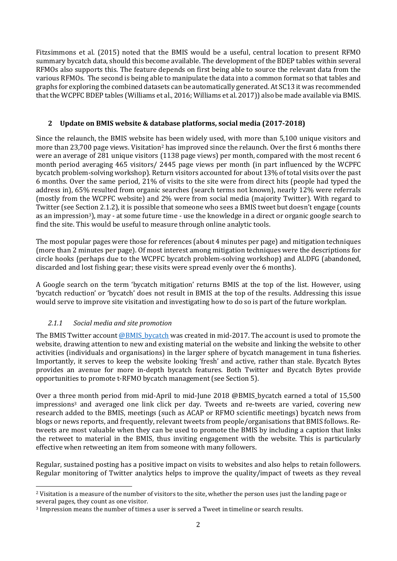Fitzsimmons et al. (2015) noted that the BMIS would be a useful, central location to present RFMO summary bycatch data, should this become available. The development of the BDEP tables within several RFMOs also supports this. The feature depends on first being able to source the relevant data from the various RFMOs. The second is being able to manipulate the data into a common format so that tables and graphs for exploring the combined datasets can be automatically generated. At SC13 it was recommended that the WCPFC BDEP tables (Williams et al., 2016; Williams et al. 2017)) also be made available via BMIS.

## **2 Update on BMIS website & database platforms, social media (2017-2018)**

Since the relaunch, the BMIS website has been widely used, with more than 5,100 unique visitors and more than 23,700 page views. Visitation<sup>2</sup> has improved since the relaunch. Over the first 6 months there were an average of 281 unique visitors (1138 page views) per month, compared with the most recent 6 month period averaging 465 visitors/ 2445 page views per month (in part influenced by the WCPFC bycatch problem-solving workshop). Return visitors accounted for about 13% of total visits over the past 6 months. Over the same period, 21% of visits to the site were from direct hits (people had typed the address in), 65% resulted from organic searches (search terms not known), nearly 12% were referrals (mostly from the WCPFC website) and 2% were from social media (majority Twitter). With regard to Twitter (see Section 2.1.2), it is possible that someone who sees a BMIS tweet but doesn't engage (counts as an impression3), may - at some future time - use the knowledge in a direct or organic google search to find the site. This would be useful to measure through online analytic tools.

The most popular pages were those for references (about 4 minutes per page) and mitigation techniques (more than 2 minutes per page). Of most interest among mitigation techniques were the descriptions for circle hooks (perhaps due to the WCPFC bycatch problem-solving workshop) and ALDFG (abandoned, discarded and lost fishing gear; these visits were spread evenly over the 6 months).

A Google search on the term 'bycatch mitigation' returns BMIS at the top of the list. However, using 'bycatch reduction' or 'bycatch' does not result in BMIS at the top of the results. Addressing this issue would serve to improve site visitation and investigating how to do so is part of the future workplan.

## *2.1.1 Social media and site promotion*

The BMIS Twitter account @BMIS\_bycatch was created in mid-2017. The account is used to promote the website, drawing attention to new and existing material on the website and linking the website to other activities (individuals and organisations) in the larger sphere of bycatch management in tuna fisheries. Importantly, it serves to keep the website looking 'fresh' and active, rather than stale. Bycatch Bytes provides an avenue for more in-depth bycatch features. Both Twitter and Bycatch Bytes provide opportunities to promote t-RFMO bycatch management (see Section 5).

Over a three month period from mid-April to mid-June 2018 @BMIS\_bycatch earned a total of 15,500 impressions<sup>3</sup> and averaged one link click per day. Tweets and re-tweets are varied, covering new research added to the BMIS, meetings (such as ACAP or RFMO scientific meetings) bycatch news from blogs or news reports, and frequently, relevant tweets from people/organisations that BMIS follows. Retweets are most valuable when they can be used to promote the BMIS by including a caption that links the retweet to material in the BMIS, thus inviting engagement with the website. This is particularly effective when retweeting an item from someone with many followers.

Regular, sustained posting has a positive impact on visits to websites and also helps to retain followers. Regular monitoring of Twitter analytics helps to improve the quality/impact of tweets as they reveal

 <sup>2</sup> Visitation is a measure of the number of visitors to the site, whether the person uses just the landing page or several pages, they count as one visitor.

<sup>3</sup> Impression means the number of times a user is served a Tweet in timeline or search results.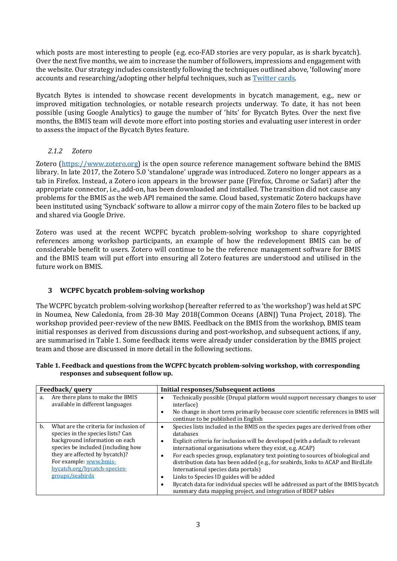which posts are most interesting to people (e.g. eco-FAD stories are very popular, as is shark bycatch). Over the next five months, we aim to increase the number of followers, impressions and engagement with the website. Our strategy includes consistently following the techniques outlined above, 'following' more accounts and researching/adopting other helpful techniques, such as Twitter cards.

Bycatch Bytes is intended to showcase recent developments in bycatch management, e.g., new or improved mitigation technologies, or notable research projects underway. To date, it has not been possible (using Google Analytics) to gauge the number of 'hits' for Bycatch Bytes. Over the next five months, the BMIS team will devote more effort into posting stories and evaluating user interest in order to assess the impact of the Bycatch Bytes feature.

## *2.1.2 Zotero*

Zotero (https://www.zotero.org) is the open source reference management software behind the BMIS library. In late 2017, the Zotero 5.0 'standalone' upgrade was introduced. Zotero no longer appears as a tab in Firefox. Instead, a Zotero icon appears in the browser pane (Firefox, Chrome or Safari) after the appropriate connector, i.e., add-on, has been downloaded and installed. The transition did not cause any problems for the BMIS as the web API remained the same. Cloud based, systematic Zotero backups have been instituted using 'Syncback' software to allow a mirror copy of the main Zotero files to be backed up and shared via Google Drive.

Zotero was used at the recent WCPFC bycatch problem-solving workshop to share copyrighted references among workshop participants, an example of how the redevelopment BMIS can be of considerable benefit to users. Zotero will continue to be the reference management software for BMIS and the BMIS team will put effort into ensuring all Zotero features are understood and utilised in the future work on BMIS.

## **3 WCPFC bycatch problem-solving workshop**

The WCPFC bycatch problem-solving workshop (hereafter referred to as 'the workshop') was held at SPC in Noumea, New Caledonia, from 28-30 May 2018(Common Oceans (ABNJ) Tuna Project, 2018). The workshop provided peer-review of the new BMIS. Feedback on the BMIS from the workshop, BMIS team initial responses as derived from discussions during and post-workshop, and subsequent actions, if any, are summarised in Table 1. Some feedback items were already under consideration by the BMIS project team and those are discussed in more detail in the following sections.

|                                     | Table 1. Feedback and questions from the WCPFC bycatch problem-solving workshop, with corresponding |
|-------------------------------------|-----------------------------------------------------------------------------------------------------|
| responses and subsequent follow up. |                                                                                                     |

| Feedback/guery |                                                                                                                                                                                                                                                                    | <b>Initial responses/Subsequent actions</b>                                                                                                                                                                                                                                                                                                                                                                                                                                                                                                                                                                                                                         |  |  |  |
|----------------|--------------------------------------------------------------------------------------------------------------------------------------------------------------------------------------------------------------------------------------------------------------------|---------------------------------------------------------------------------------------------------------------------------------------------------------------------------------------------------------------------------------------------------------------------------------------------------------------------------------------------------------------------------------------------------------------------------------------------------------------------------------------------------------------------------------------------------------------------------------------------------------------------------------------------------------------------|--|--|--|
| a.             | Are there plans to make the BMIS<br>available in different languages                                                                                                                                                                                               | Technically possible (Drupal platform would support necessary changes to user<br>interface)<br>No change in short term primarily because core scientific references in BMIS will<br>٠<br>continue to be published in English                                                                                                                                                                                                                                                                                                                                                                                                                                        |  |  |  |
| b.             | What are the criteria for inclusion of<br>species in the species lists? Can<br>background information on each<br>species be included (including how<br>they are affected by bycatch)?<br>For example: www.bmis-<br>bycatch.org/bycatch-species-<br>groups/seabirds | Species lists included in the BMIS on the species pages are derived from other<br>$\bullet$<br>databases<br>Explicit criteria for inclusion will be developed (with a default to relevant<br>international organisations where they exist, e.g. ACAP)<br>For each species group, explanatory text pointing to sources of biological and<br>distribution data has been added (e.g., for seabirds, links to ACAP and BirdLife<br>International species data portals)<br>Links to Species ID guides will be added<br>Bycatch data for individual species will be addressed as part of the BMIS bycatch<br>summary data mapping project, and integration of BDEP tables |  |  |  |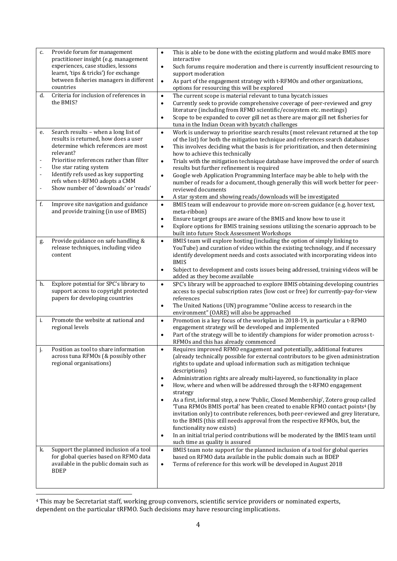| c.                                         | Provide forum for management<br>practitioner insight (e.g. management<br>experiences, case studies, lessons<br>learnt, 'tips & tricks') for exchange<br>between fisheries managers in different<br>countries                                                                                                             | This is able to be done with the existing platform and would make BMIS more<br>$\bullet$<br>interactive<br>Such forums require moderation and there is currently insufficient resourcing to<br>$\bullet$<br>support moderation<br>$\bullet$<br>As part of the engagement strategy with t-RFMOs and other organizations,<br>options for resourcing this will be explored                                                                                                                                                                                                                                                                                                                                                                                                                                                                                                                                                                                                                           |
|--------------------------------------------|--------------------------------------------------------------------------------------------------------------------------------------------------------------------------------------------------------------------------------------------------------------------------------------------------------------------------|---------------------------------------------------------------------------------------------------------------------------------------------------------------------------------------------------------------------------------------------------------------------------------------------------------------------------------------------------------------------------------------------------------------------------------------------------------------------------------------------------------------------------------------------------------------------------------------------------------------------------------------------------------------------------------------------------------------------------------------------------------------------------------------------------------------------------------------------------------------------------------------------------------------------------------------------------------------------------------------------------|
| d.                                         | Criteria for inclusion of references in<br>the BMIS?                                                                                                                                                                                                                                                                     | The current scope is material relevant to tuna bycatch issues<br>$\bullet$<br>Currently seek to provide comprehensive coverage of peer-reviewed and grey<br>$\bullet$<br>literature (including from RFMO scientific/ecosystem etc. meetings)<br>Scope to be expanded to cover gill net as there are major gill net fisheries for<br>$\bullet$<br>tuna in the Indian Ocean with bycatch challenges                                                                                                                                                                                                                                                                                                                                                                                                                                                                                                                                                                                                 |
| e.<br>$\Box$<br>$\Box$<br>$\Box$<br>$\Box$ | Search results - when a long list of<br>results is returned, how does a user<br>determine which references are most<br>relevant?<br>Prioritise references rather than filter<br>Use star rating system<br>Identify refs used as key supporting<br>refs when t-RFMO adopts a CMM<br>Show number of 'downloads' or 'reads' | Work is underway to prioritise search results (most relevant returned at the top<br>$\bullet$<br>of the list) for both the mitigation technique and references search databases<br>This involves deciding what the basis is for prioritization, and then determining<br>$\bullet$<br>how to achieve this technically<br>Trials with the mitigation technique database have improved the order of search<br>$\bullet$<br>results but further refinement is required<br>Google web Application Programming Interface may be able to help with the<br>$\bullet$<br>number of reads for a document, though generally this will work better for peer-<br>reviewed documents<br>A star system and showing reads/downloads will be investigated<br>$\bullet$                                                                                                                                                                                                                                             |
| f.                                         | Improve site navigation and guidance<br>and provide training (in use of BMIS)                                                                                                                                                                                                                                            | BMIS team will endeavour to provide more on-screen guidance (e.g. hover text,<br>$\bullet$<br>meta-ribbon)<br>Ensure target groups are aware of the BMIS and know how to use it<br>$\bullet$<br>Explore options for BMIS training sessions utilizing the scenario approach to be<br>$\bullet$<br>built into future Stock Assessment Workshops                                                                                                                                                                                                                                                                                                                                                                                                                                                                                                                                                                                                                                                     |
| g.                                         | Provide guidance on safe handling &<br>release techniques, including video<br>content                                                                                                                                                                                                                                    | BMIS team will explore hosting (including the option of simply linking to<br>$\bullet$<br>YouTube) and curation of video within the existing technology, and if necessary<br>identify development needs and costs associated with incorporating videos into<br><b>BMIS</b><br>Subject to development and costs issues being addressed, training videos will be<br>$\bullet$<br>added as they become available                                                                                                                                                                                                                                                                                                                                                                                                                                                                                                                                                                                     |
| h.                                         | Explore potential for SPC's library to<br>support access to copyright protected<br>papers for developing countries                                                                                                                                                                                                       | SPC's library will be approached to explore BMIS obtaining developing countries<br>$\bullet$<br>access to special subscription rates (low cost or free) for currently-pay-for-view<br>references<br>The United Nations (UN) programme "Online access to research in the<br>$\bullet$<br>environment" (OARE) will also be approached                                                                                                                                                                                                                                                                                                                                                                                                                                                                                                                                                                                                                                                               |
| i.                                         | Promote the website at national and<br>regional levels                                                                                                                                                                                                                                                                   | Promotion is a key focus of the workplan in 2018-19, in particular a t-RFMO<br>$\bullet$<br>engagement strategy will be developed and implemented<br>Part of the strategy will be to identify champions for wider promotion across t-<br>$\bullet$<br>RFMOs and this has already commenced                                                                                                                                                                                                                                                                                                                                                                                                                                                                                                                                                                                                                                                                                                        |
| j.                                         | Position as tool to share information<br>across tuna RFMOs (& possibly other<br>regional organisations)                                                                                                                                                                                                                  | Requires improved RFMO engagement and potentially, additional features<br>$\bullet$<br>(already technically possible for external contributors to be given administration<br>rights to update and upload information such as mitigation technique<br>descriptions)<br>Administration rights are already multi-layered, so functionality in place<br>$\bullet$<br>How, where and when will be addressed through the t-RFMO engagement<br>$\bullet$<br>strategy<br>As a first, informal step, a new 'Public, Closed Membership', Zotero group called<br>$\bullet$<br>'Tuna RFMOs BMIS portal' has been created to enable RFMO contact points <sup>4</sup> (by<br>invitation only) to contribute references, both peer-reviewed and grey literature,<br>to the BMIS (this still needs approval from the respective RFMOs, but, the<br>functionality now exists)<br>In an initial trial period contributions will be moderated by the BMIS team until<br>$\bullet$<br>such time as quality is assured |
| k.                                         | Support the planned inclusion of a tool<br>for global queries based on RFMO data<br>available in the public domain such as<br><b>BDEP</b>                                                                                                                                                                                | BMIS team note support for the planned inclusion of a tool for global queries<br>$\bullet$<br>based on RFMO data available in the public domain such as BDEP<br>Terms of reference for this work will be developed in August 2018<br>$\bullet$                                                                                                                                                                                                                                                                                                                                                                                                                                                                                                                                                                                                                                                                                                                                                    |

<sup>————————————————————&</sup>lt;br><sup>4</sup> This may be Secretariat staff, working group convenors, scientific service providers or nominated experts, dependent on the particular tRFMO. Such decisions may have resourcing implications.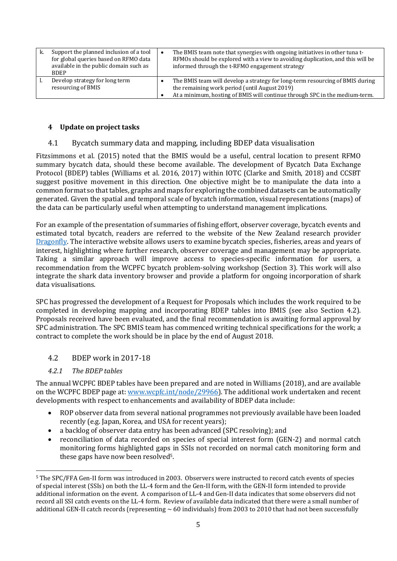| ĸ. | Support the planned inclusion of a tool<br>for global queries based on RFMO data<br>available in the public domain such as<br><b>BDEP</b> | The BMIS team note that synergies with ongoing initiatives in other tuna t-<br>RFMOs should be explored with a view to avoiding duplication, and this will be<br>informed through the t-RFMO engagement strategy |
|----|-------------------------------------------------------------------------------------------------------------------------------------------|------------------------------------------------------------------------------------------------------------------------------------------------------------------------------------------------------------------|
|    | Develop strategy for long term<br>resourcing of BMIS                                                                                      | The BMIS team will develop a strategy for long-term resourcing of BMIS during<br>the remaining work period (until August 2019)<br>At a minimum, hosting of BMIS will continue through SPC in the medium-term.    |

#### **4 Update on project tasks**

## 4.1 Bycatch summary data and mapping, including BDEP data visualisation

Fitzsimmons et al. (2015) noted that the BMIS would be a useful, central location to present RFMO summary bycatch data, should these become available. The development of Bycatch Data Exchange Protocol (BDEP) tables (Williams et al. 2016, 2017) within IOTC (Clarke and Smith, 2018) and CCSBT suggest positive movement in this direction. One objective might be to manipulate the data into a common format so that tables, graphs and maps for exploring the combined datasets can be automatically generated. Given the spatial and temporal scale of bycatch information, visual representations (maps) of the data can be particularly useful when attempting to understand management implications.

For an example of the presentation of summaries of fishing effort, observer coverage, bycatch events and estimated total bycatch, readers are referred to the website of the New Zealand research provider Dragonfly. The interactive website allows users to examine bycatch species, fisheries, areas and years of interest, highlighting where further research, observer coverage and management may be appropriate. Taking a similar approach will improve access to species-specific information for users, a recommendation from the WCPFC bycatch problem-solving workshop (Section 3). This work will also integrate the shark data inventory browser and provide a platform for ongoing incorporation of shark data visualisations.

SPC has progressed the development of a Request for Proposals which includes the work required to be completed in developing mapping and incorporating BDEP tables into BMIS (see also Section 4.2). Proposals received have been evaluated, and the final recommendation is awaiting formal approval by SPC administration. The SPC BMIS team has commenced writing technical specifications for the work; a contract to complete the work should be in place by the end of August 2018.

## 4.2 BDEP work in 2017-18

#### *4.2.1 The BDEP tables*

The annual WCPFC BDEP tables have been prepared and are noted in Williams (2018), and are available on the WCPFC BDEP page at: www.wcpfc.int/node/29966). The additional work undertaken and recent developments with respect to enhancements and availability of BDEP data include:

- ROP observer data from several national programmes not previously available have been loaded recently (e.g. Japan, Korea, and USA for recent years);
- a backlog of observer data entry has been advanced (SPC resolving); and
- reconciliation of data recorded on species of special interest form (GEN-2) and normal catch monitoring forms highlighted gaps in SSIs not recorded on normal catch monitoring form and these gaps have now been resolved5.

 <sup>5</sup> The SPC/FFA Gen-II form was introduced in 2003. Observers were instructed to record catch events of species of special interest (SSIs) on both the LL-4 form and the Gen-II form, with the GEN-II form intended to provide additional information on the event. A comparison of LL-4 and Gen-II data indicates that some observers did not record all SSI catch events on the LL-4 form. Review of available data indicated that there were a small number of additional GEN-II catch records (representing  $\sim 60$  individuals) from 2003 to 2010 that had not been successfully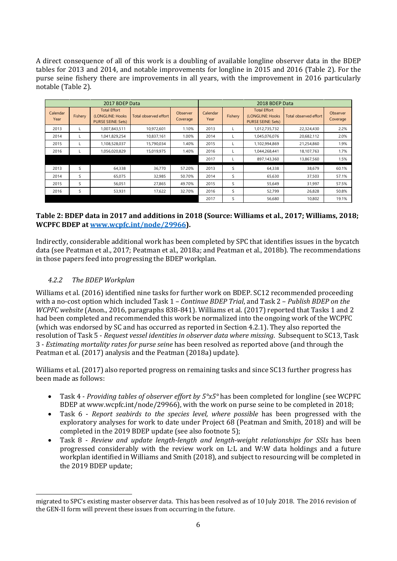A direct consequence of all of this work is a doubling of available longline observer data in the BDEP tables for 2013 and 2014, and notable improvements for longline in 2015 and 2016 (Table 2). For the purse seine fishery there are improvements in all years, with the improvement in 2016 particularly notable (Table 2).

| 2017 BDEP Data   |         |                                                                      |                       |                      | 2018 BDEP Data   |         |                                                                      |                       |                      |
|------------------|---------|----------------------------------------------------------------------|-----------------------|----------------------|------------------|---------|----------------------------------------------------------------------|-----------------------|----------------------|
| Calendar<br>Year | Fishery | <b>Total Effort</b><br>(LONGLINE: Hooks<br><b>PURSE SEINE: Sets)</b> | Total observed effort | Observer<br>Coverage | Calendar<br>Year | Fishery | <b>Total Effort</b><br>(LONGLINE: Hooks<br><b>PURSE SEINE: Sets)</b> | Total observed effort | Observer<br>Coverage |
| 2013             |         | 1.007.843.511                                                        | 10.972.601            | 1.10%                | 2013             |         | 1,012,735,732                                                        | 22.324.430            | 2.2%                 |
| 2014             |         | 1,041,829,254                                                        | 10,837,161            | 1.00%                | 2014             |         | 1,045,076,076                                                        | 20,682,112            | 2.0%                 |
| 2015             |         | 1,108,528,037                                                        | 15,790,034            | 1.40%                | 2015             |         | 1,102,994,869                                                        | 21.254.860            | 1.9%                 |
| 2016             |         | 1,056,020,829                                                        | 15,019,975            | 1.40%                | 2016             |         | 1,044,268,441                                                        | 18,107,763            | 1.7%                 |
|                  |         |                                                                      |                       |                      | 2017             |         | 897,143,360                                                          | 13,867,560            | 1.5%                 |
| 2013             | S       | 64,338                                                               | 36,770                | 57.20%               | 2013             | S       | 64,338                                                               | 38,679                | 60.1%                |
| 2014             | S       | 65.075                                                               | 32,985                | 50.70%               | 2014             | S       | 65,630                                                               | 37,503                | 57.1%                |
| 2015             | S       | 56,051                                                               | 27,865                | 49.70%               | 2015             | S       | 55,649                                                               | 31,997                | 57.5%                |
| 2016             | S       | 53,931                                                               | 17,622                | 32.70%               | 2016             | S       | 52,799                                                               | 26,828                | 50.8%                |
|                  |         |                                                                      |                       |                      | 2017             | S       | 56,680                                                               | 10,802                | 19.1%                |

## **Table 2: BDEP data in 2017 and additions in 2018 (Source: Williams et al., 2017; Williams, 2018; WCPFC BDEP at www.wcpfc.int/node/29966).**

Indirectly, considerable additional work has been completed by SPC that identifies issues in the bycatch data (see Peatman et al., 2017; Peatman et al., 2018a; and Peatman et al., 2018b). The recommendations in those papers feed into progressing the BDEP workplan.

## *4.2.2 The BDEP Workplan*

 $\overline{a}$ 

Williams et al. (2016) identified nine tasks for further work on BDEP. SC12 recommended proceeding with a no-cost option which included Task 1 – *Continue BDEP Trial*, and Task 2 – *Publish BDEP on the WCPFC website* (Anon., 2016, paragraphs 838-841). Williams et al. (2017) reported that Tasks 1 and 2 had been completed and recommended this work be normalized into the ongoing work of the WCPFC (which was endorsed by SC and has occurred as reported in Section 4.2.1). They also reported the resolution of Task 5 - *Request vessel identities in observer data where missing*. Subsequent to SC13, Task 3 - *Estimating mortality rates for purse seine* has been resolved as reported above (and through the Peatman et al. (2017) analysis and the Peatman (2018a) update).

Williams et al. (2017) also reported progress on remaining tasks and since SC13 further progress has been made as follows:

- Task 4 *Providing tables of observer effort by 5°x5°* has been completed for longline (see WCPFC BDEP at www.wcpfc.int/node/29966), with the work on purse seine to be completed in 2018;
- Task 6 *Report seabirds to the species level, where possible* has been progressed with the exploratory analyses for work to date under Project 68 (Peatman and Smith, 2018) and will be completed in the 2019 BDEP update (see also footnote 5);
- Task 8 *Review and update length-length and length-weight relationships for SSIs* has been progressed considerably with the review work on L:L and W:W data holdings and a future workplan identified in Williams and Smith (2018), and subject to resourcing will be completed in the 2019 BDEP update;

migrated to SPC's existing master observer data. This has been resolved as of 10 July 2018. The 2016 revision of the GEN-II form will prevent these issues from occurring in the future.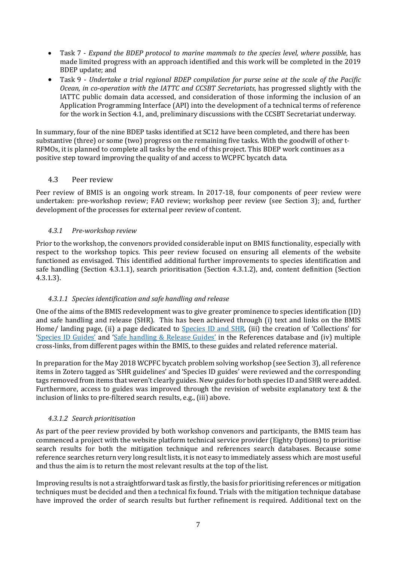- Task 7 *Expand the BDEP protocol to marine mammals to the species level, where possible*, has made limited progress with an approach identified and this work will be completed in the 2019 BDEP update; and
- Task 9 *Undertake a trial regional BDEP compilation for purse seine at the scale of the Pacific Ocean, in co-operation with the IATTC and CCSBT Secretariats*, has progressed slightly with the IATTC public domain data accessed, and consideration of those informing the inclusion of an Application Programming Interface (API) into the development of a technical terms of reference for the work in Section 4.1, and, preliminary discussions with the CCSBT Secretariat underway.

In summary, four of the nine BDEP tasks identified at SC12 have been completed, and there has been substantive (three) or some (two) progress on the remaining five tasks. With the goodwill of other t-RFMOs, it is planned to complete all tasks by the end of this project. This BDEP work continues as a positive step toward improving the quality of and access to WCPFC bycatch data.

## 4.3 Peer review

Peer review of BMIS is an ongoing work stream. In 2017-18, four components of peer review were undertaken: pre-workshop review; FAO review; workshop peer review (see Section 3); and, further development of the processes for external peer review of content.

#### *4.3.1 Pre-workshop review*

Prior to the workshop, the convenors provided considerable input on BMIS functionality, especially with respect to the workshop topics. This peer review focused on ensuring all elements of the website functioned as envisaged. This identified additional further improvements to species identification and safe handling (Section 4.3.1.1), search prioritisation (Section 4.3.1.2), and, content definition (Section 4.3.1.3).

#### *4.3.1.1 Species identification and safe handling and release*

One of the aims of the BMIS redevelopment was to give greater prominence to species identification (ID) and safe handling and release (SHR). This has been achieved through (i) text and links on the BMIS Home/ landing page, (ii) a page dedicated to Species ID and SHR, (iii) the creation of 'Collections' for 'Species ID Guides' and 'Safe handling & Release Guides' in the References database and (iv) multiple cross-links, from different pages within the BMIS, to these guides and related reference material.

In preparation for the May 2018 WCPFC bycatch problem solving workshop (see Section 3), all reference items in Zotero tagged as 'SHR guidelines' and 'Species ID guides' were reviewed and the corresponding tags removed from items that weren't clearly guides. New guides for both species ID and SHR were added. Furthermore, access to guides was improved through the revision of website explanatory text & the inclusion of links to pre-filtered search results, e.g., (iii) above.

## *4.3.1.2 Search prioritisation*

As part of the peer review provided by both workshop convenors and participants, the BMIS team has commenced a project with the website platform technical service provider (Eighty Options) to prioritise search results for both the mitigation technique and references search databases. Because some reference searches return very long result lists, it is not easy to immediately assess which are most useful and thus the aim is to return the most relevant results at the top of the list.

Improving results is not a straightforward task as firstly, the basis for prioritising references or mitigation techniques must be decided and then a technical fix found. Trials with the mitigation technique database have improved the order of search results but further refinement is required. Additional text on the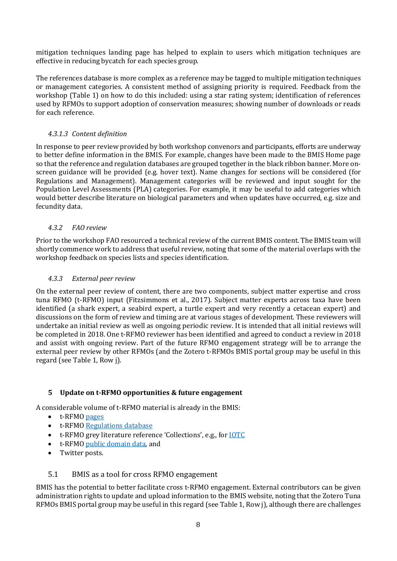mitigation techniques landing page has helped to explain to users which mitigation techniques are effective in reducing bycatch for each species group.

The references database is more complex as a reference may be tagged to multiple mitigation techniques or management categories. A consistent method of assigning priority is required. Feedback from the workshop (Table 1) on how to do this included: using a star rating system; identification of references used by RFMOs to support adoption of conservation measures; showing number of downloads or reads for each reference.

#### *4.3.1.3 Content definition*

In response to peer review provided by both workshop convenors and participants, efforts are underway to better define information in the BMIS. For example, changes have been made to the BMIS Home page so that the reference and regulation databases are grouped together in the black ribbon banner. More onscreen guidance will be provided (e.g. hover text). Name changes for sections will be considered (for Regulations and Management). Management categories will be reviewed and input sought for the Population Level Assessments (PLA) categories. For example, it may be useful to add categories which would better describe literature on biological parameters and when updates have occurred, e.g. size and fecundity data.

#### *4.3.2 FAO review*

Prior to the workshop FAO resourced a technical review of the current BMIS content. The BMIS team will shortly commence work to address that useful review, noting that some of the material overlaps with the workshop feedback on species lists and species identification.

#### *4.3.3 External peer review*

On the external peer review of content, there are two components, subject matter expertise and cross tuna RFMO (t-RFMO) input (Fitzsimmons et al., 2017). Subject matter experts across taxa have been identified (a shark expert, a seabird expert, a turtle expert and very recently a cetacean expert) and discussions on the form of review and timing are at various stages of development. These reviewers will undertake an initial review as well as ongoing periodic review. It is intended that all initial reviews will be completed in 2018. One t-RFMO reviewer has been identified and agreed to conduct a review in 2018 and assist with ongoing review. Part of the future RFMO engagement strategy will be to arrange the external peer review by other RFMOs (and the Zotero t-RFMOs BMIS portal group may be useful in this regard (see Table 1, Row j).

#### **5 Update on t-RFMO opportunities & future engagement**

A considerable volume of t-RFMO material is already in the BMIS:

- t-RFMO pages
- t-RFMO Regulations database
- t-RFMO grey literature reference 'Collections', e.g., for IOTC
- t-RFMO public domain data, and
- Twitter posts.

#### 5.1 BMIS as a tool for cross RFMO engagement

BMIS has the potential to better facilitate cross t-RFMO engagement. External contributors can be given administration rights to update and upload information to the BMIS website, noting that the Zotero Tuna RFMOs BMIS portal group may be useful in this regard (see Table 1, Row j), although there are challenges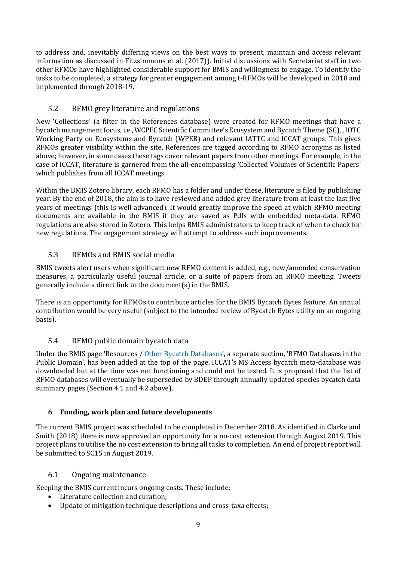to address and, inevitably differing views on the best ways to present, maintain and access relevant information as discussed in Fitzsimmons et al. (2017)). Initial discussions with Secretariat staff in two other RFMOs have highlighted considerable support for BMIS and willingness to engage. To identify the tasks to be completed, a strategy for greater engagement among t-RFMOs will be developed in 2018 and implemented through 2018-19.

# 5.2 RFMO grey literature and regulations

New 'Collections' (a filter in the References database) were created for RFMO meetings that have a bycatch management focus, i.e., WCPFC Scientific Committee's Ecosystem and Bycatch Theme (SC), , IOTC Working Party on Ecosystems and Bycatch (WPEB) and relevant IATTC and ICCAT groups. This gives RFMOs greater visibility within the site. References are tagged according to RFMO acronyms as listed above; however, in some cases these tags cover relevant papers from other meetings. For example, in the case of ICCAT, literature is garnered from the all-encompassing 'Collected Volumes of Scientific Papers' which publishes from all ICCAT meetings.

Within the BMIS Zotero library, each RFMO has a folder and under these, literature is filed by publishing year. By the end of 2018, the aim is to have reviewed and added grey literature from at least the last five years of meetings (this is well advanced). It would greatly improve the speed at which RFMO meeting documents are available in the BMIS if they are saved as Pdfs with embedded meta-data. RFMO regulations are also stored in Zotero. This helps BMIS administrators to keep track of when to check for new regulations. The engagement strategy will attempt to address such improvements.

# 5.3 RFMOs and BMIS social media

BMIS tweets alert users when significant new RFMO content is added, e.g., new/amended conservation measures, a particularly useful journal article, or a suite of papers from an RFMO meeting. Tweets generally include a direct link to the document(s) in the BMIS.

There is an opportunity for RFMOs to contribute articles for the BMIS Bycatch Bytes feature. An annual contribution would be very useful (subject to the intended review of Bycatch Bytes utility on an ongoing basis).

# 5.4 RFMO public domain bycatch data

Under the BMIS page 'Resources / Other Bycatch Databases', a separate section, 'RFMO Databases in the Public Domain', has been added at the top of the page. ICCAT's MS Access bycatch meta-database was downloaded but at the time was not functioning and could not be tested. It is proposed that the list of RFMO databases will eventually be superseded by BDEP through annually updated species bycatch data summary pages (Section 4.1 and 4.2 above).

# **6 Funding, work plan and future developments**

The current BMIS project was scheduled to be completed in December 2018. As identified in Clarke and Smith (2018) there is now approved an opportunity for a no-cost extension through August 2019. This project plans to utilise the no cost extension to bring all tasks to completion. An end of project report will be submitted to SC15 in August 2019.

# 6.1 Ongoing maintenance

Keeping the BMIS current incurs ongoing costs. These include:

- Literature collection and curation;
- Update of mitigation technique descriptions and cross-taxa effects;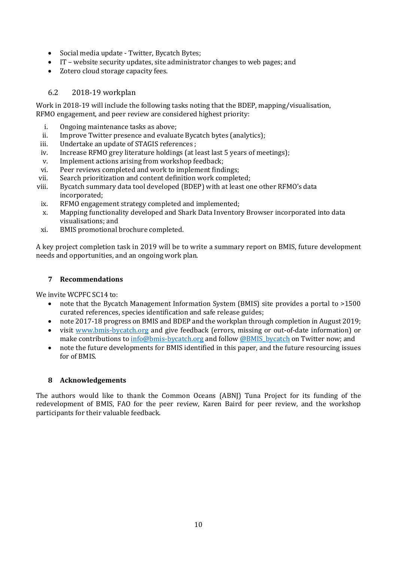- Social media update Twitter, Bycatch Bytes;
- IT website security updates, site administrator changes to web pages; and
- Zotero cloud storage capacity fees.

## 6.2 2018-19 workplan

Work in 2018-19 will include the following tasks noting that the BDEP, mapping/visualisation, RFMO engagement, and peer review are considered highest priority:

- i. Ongoing maintenance tasks as above;
- ii. Improve Twitter presence and evaluate Bycatch bytes (analytics);
- iii. Undertake an update of STAGIS references ;
- iv. Increase RFMO grey literature holdings (at least last 5 years of meetings);
- v. Implement actions arising from workshop feedback;
- vi. Peer reviews completed and work to implement findings;
- vii. Search prioritization and content definition work completed;
- viii. Bycatch summary data tool developed (BDEP) with at least one other RFMO's data incorporated;
- ix. RFMO engagement strategy completed and implemented;
- x. Mapping functionality developed and Shark Data Inventory Browser incorporated into data visualisations; and
- xi. BMIS promotional brochure completed.

A key project completion task in 2019 will be to write a summary report on BMIS, future development needs and opportunities, and an ongoing work plan.

#### **7 Recommendations**

We invite WCPFC SC14 to:

- note that the Bycatch Management Information System (BMIS) site provides a portal to >1500 curated references, species identification and safe release guides;
- note 2017-18 progress on BMIS and BDEP and the workplan through completion in August 2019;
- visit www.bmis-bycatch.org and give feedback (errors, missing or out-of-date information) or make contributions to  $\frac{info@bmis-bycatch.org}{bycatch.org}$  and follow @BMIS\_bycatch on Twitter now; and
- note the future developments for BMIS identified in this paper, and the future resourcing issues for of BMIS.

#### **8 Acknowledgements**

The authors would like to thank the Common Oceans (ABNJ) Tuna Project for its funding of the redevelopment of BMIS, FAO for the peer review, Karen Baird for peer review, and the workshop participants for their valuable feedback.